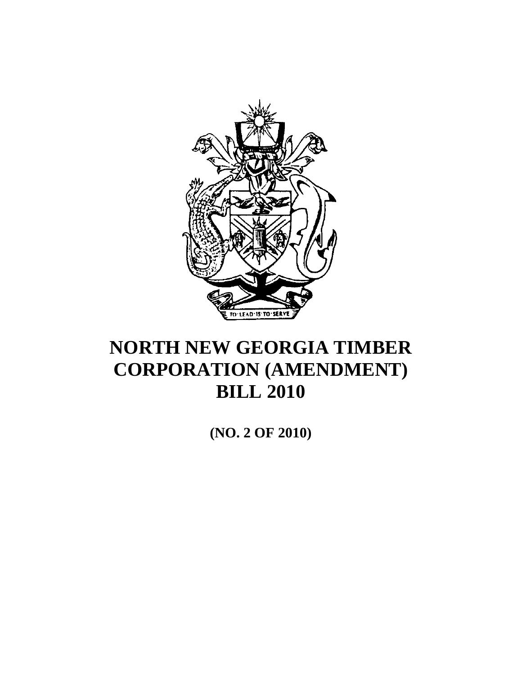

**(NO. 2 OF 2010)**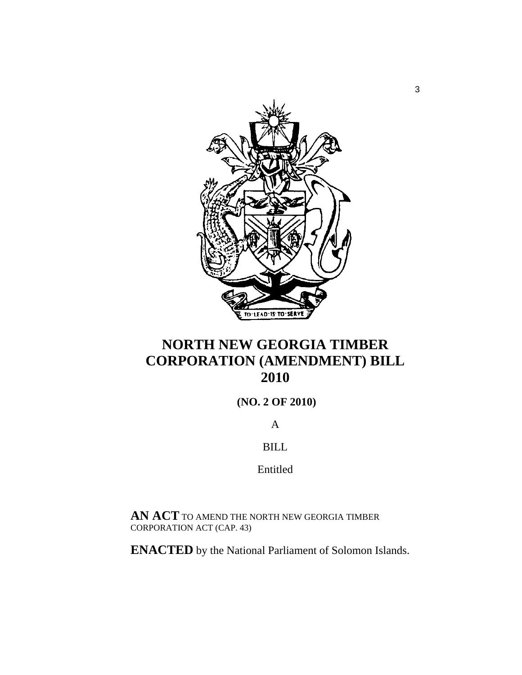

# **(NO. 2 OF 2010)**

A

BILL

Entitled

**AN ACT** TO AMEND THE NORTH NEW GEORGIA TIMBER CORPORATION ACT (CAP. 43)

**ENACTED** by the National Parliament of Solomon Islands.

3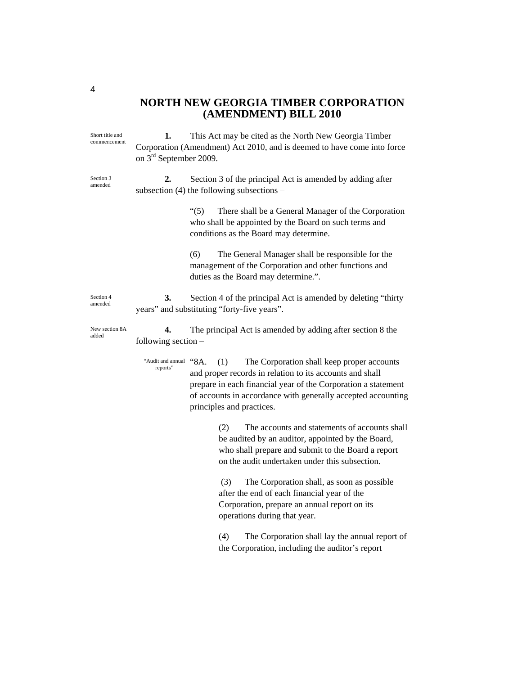**1.** This Act may be cited as the North New Georgia Timber Corporation (Amendment) Act 2010, and is deemed to have come into force on 3rd September 2009. **2.** Section 3 of the principal Act is amended by adding after subsection (4) the following subsections – "(5) There shall be a General Manager of the Corporation who shall be appointed by the Board on such terms and conditions as the Board may determine. (6) The General Manager shall be responsible for the management of the Corporation and other functions and duties as the Board may determine.". **3.** Section 4 of the principal Act is amended by deleting "thirty years" and substituting "forty-five years". **4.** The principal Act is amended by adding after section 8 the following section – "8A. (1) The Corporation shall keep proper accounts and proper records in relation to its accounts and shall prepare in each financial year of the Corporation a statement of accounts in accordance with generally accepted accounting principles and practices. (2) The accounts and statements of accounts shall be audited by an auditor, appointed by the Board, who shall prepare and submit to the Board a report on the audit undertaken under this subsection. (3) The Corporation shall, as soon as possible after the end of each financial year of the Corporation, prepare an annual report on its operations during that year. (4) The Corporation shall lay the annual report of the Corporation, including the auditor's report "Audit and annual reports" Short title and commencement Section 3 amended Section 4 amended New section 8A added

4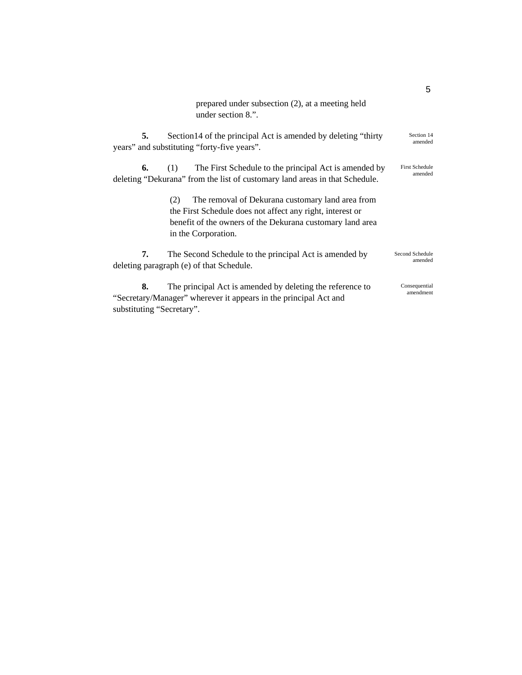prepared under subsection (2), at a meeting held under section 8.".

**5.** Section14 of the principal Act is amended by deleting "thirty years" and substituting "forty-five years".

**6.** (1) The First Schedule to the principal Act is amended by deleting "Dekurana" from the list of customary land areas in that Schedule. First Schedule amended

> (2) The removal of Dekurana customary land area from the First Schedule does not affect any right, interest or benefit of the owners of the Dekurana customary land area in the Corporation.

**7.** The Second Schedule to the principal Act is amended by deleting paragraph (e) of that Schedule. Second Schedule amended

**8.** The principal Act is amended by deleting the reference to "Secretary/Manager" wherever it appears in the principal Act and substituting "Secretary". Consequential amendment

5

Section 14 amended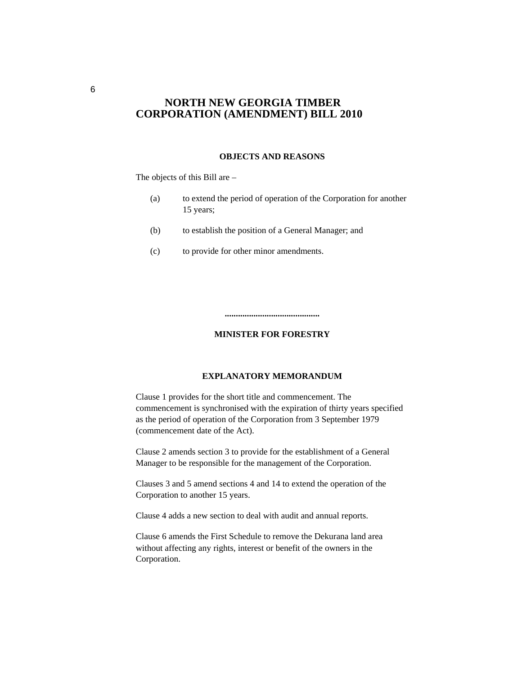#### **OBJECTS AND REASONS**

The objects of this Bill are –

| (a) | to extend the period of operation of the Corporation for another |
|-----|------------------------------------------------------------------|
|     | 15 years:                                                        |

- (b) to establish the position of a General Manager; and
- (c) to provide for other minor amendments.

#### **MINISTER FOR FORESTRY**

**...........................................** 

#### **EXPLANATORY MEMORANDUM**

Clause 1 provides for the short title and commencement. The commencement is synchronised with the expiration of thirty years specified as the period of operation of the Corporation from 3 September 1979 (commencement date of the Act).

Clause 2 amends section 3 to provide for the establishment of a General Manager to be responsible for the management of the Corporation.

Clauses 3 and 5 amend sections 4 and 14 to extend the operation of the Corporation to another 15 years.

Clause 4 adds a new section to deal with audit and annual reports.

Clause 6 amends the First Schedule to remove the Dekurana land area without affecting any rights, interest or benefit of the owners in the Corporation.